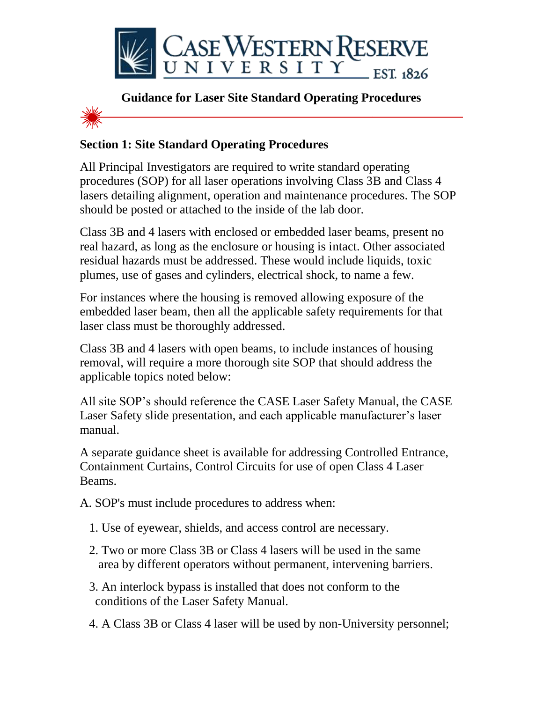



## **Section 1: Site Standard Operating Procedures**

All Principal Investigators are required to write standard operating procedures (SOP) for all laser operations involving Class 3B and Class 4 lasers detailing alignment, operation and maintenance procedures. The SOP should be posted or attached to the inside of the lab door.

Class 3B and 4 lasers with enclosed or embedded laser beams, present no real hazard, as long as the enclosure or housing is intact. Other associated residual hazards must be addressed. These would include liquids, toxic plumes, use of gases and cylinders, electrical shock, to name a few.

For instances where the housing is removed allowing exposure of the embedded laser beam, then all the applicable safety requirements for that laser class must be thoroughly addressed.

Class 3B and 4 lasers with open beams, to include instances of housing removal, will require a more thorough site SOP that should address the applicable topics noted below:

All site SOP's should reference the CASE Laser Safety Manual, the CASE Laser Safety slide presentation, and each applicable manufacturer's laser manual.

A separate guidance sheet is available for addressing Controlled Entrance, Containment Curtains, Control Circuits for use of open Class 4 Laser Beams.

A. SOP's must include procedures to address when:

- 1. Use of eyewear, shields, and access control are necessary.
- 2. Two or more Class 3B or Class 4 lasers will be used in the same area by different operators without permanent, intervening barriers.
- 3. An interlock bypass is installed that does not conform to the conditions of the Laser Safety Manual.
- 4. A Class 3B or Class 4 laser will be used by non-University personnel;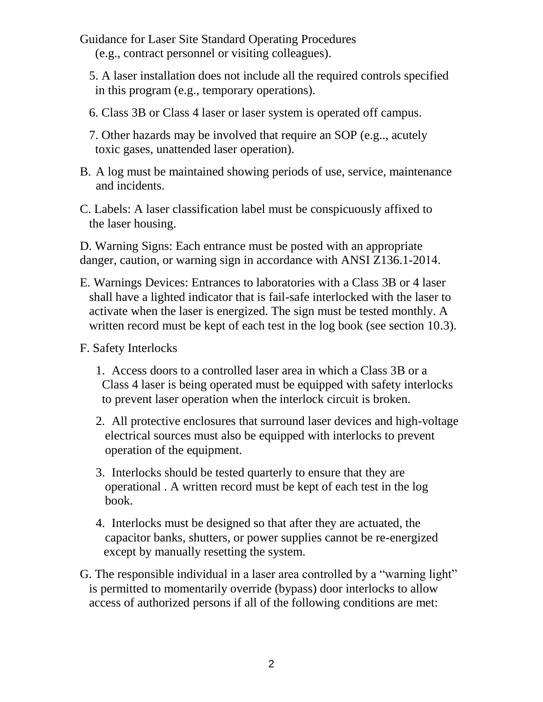- Guidance for Laser Site Standard Operating Procedures (e.g., contract personnel or visiting colleagues).
	- 5. A laser installation does not include all the required controls specified in this program (e.g., temporary operations).
	- 6. Class 3B or Class 4 laser or laser system is operated off campus.
	- 7. Other hazards may be involved that require an SOP (e.g.., acutely toxic gases, unattended laser operation).
- B. A log must be maintained showing periods of use, service, maintenance and incidents.
- C. Labels: A laser classification label must be conspicuously affixed to the laser housing.

D. Warning Signs: Each entrance must be posted with an appropriate danger, caution, or warning sign in accordance with ANSI Z136.1-2014.

E. Warnings Devices: Entrances to laboratories with a Class 3B or 4 laser shall have a lighted indicator that is fail-safe interlocked with the laser to activate when the laser is energized. The sign must be tested monthly. A written record must be kept of each test in the log book (see section 10.3).

F. Safety Interlocks

- 1. Access doors to a controlled laser area in which a Class 3B or a Class 4 laser is being operated must be equipped with safety interlocks to prevent laser operation when the interlock circuit is broken.
- 2. All protective enclosures that surround laser devices and high-voltage electrical sources must also be equipped with interlocks to prevent operation of the equipment.
- 3. Interlocks should be tested quarterly to ensure that they are operational . A written record must be kept of each test in the log book.
- 4. Interlocks must be designed so that after they are actuated, the capacitor banks, shutters, or power supplies cannot be re-energized except by manually resetting the system.
- G. The responsible individual in a laser area controlled by a "warning light" is permitted to momentarily override (bypass) door interlocks to allow access of authorized persons if all of the following conditions are met: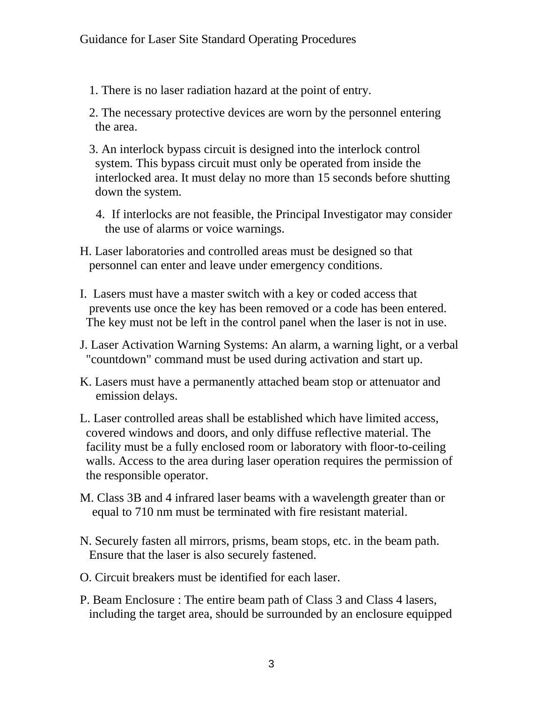- 1. There is no laser radiation hazard at the point of entry.
- 2. The necessary protective devices are worn by the personnel entering the area.
- 3. An interlock bypass circuit is designed into the interlock control system. This bypass circuit must only be operated from inside the interlocked area. It must delay no more than 15 seconds before shutting down the system.
	- 4. If interlocks are not feasible, the Principal Investigator may consider the use of alarms or voice warnings.
- H. Laser laboratories and controlled areas must be designed so that personnel can enter and leave under emergency conditions.
- I. Lasers must have a master switch with a key or coded access that prevents use once the key has been removed or a code has been entered. The key must not be left in the control panel when the laser is not in use.
- J. Laser Activation Warning Systems: An alarm, a warning light, or a verbal "countdown" command must be used during activation and start up.
- K. Lasers must have a permanently attached beam stop or attenuator and emission delays.
- L. Laser controlled areas shall be established which have limited access, covered windows and doors, and only diffuse reflective material. The facility must be a fully enclosed room or laboratory with floor-to-ceiling walls. Access to the area during laser operation requires the permission of the responsible operator.
- M. Class 3B and 4 infrared laser beams with a wavelength greater than or equal to 710 nm must be terminated with fire resistant material.
- N. Securely fasten all mirrors, prisms, beam stops, etc. in the beam path. Ensure that the laser is also securely fastened.
- O. Circuit breakers must be identified for each laser.
- P. Beam Enclosure : The entire beam path of Class 3 and Class 4 lasers, including the target area, should be surrounded by an enclosure equipped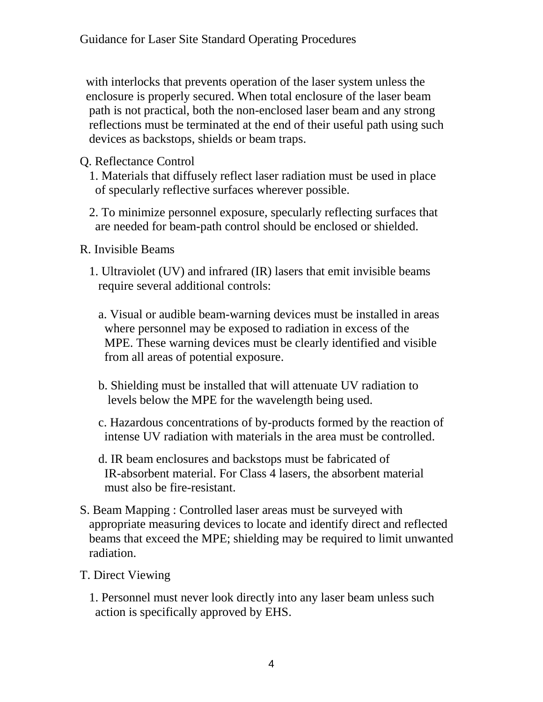with interlocks that prevents operation of the laser system unless the enclosure is properly secured. When total enclosure of the laser beam path is not practical, both the non-enclosed laser beam and any strong reflections must be terminated at the end of their useful path using such devices as backstops, shields or beam traps.

- Q. Reflectance Control
	- 1. Materials that diffusely reflect laser radiation must be used in place of specularly reflective surfaces wherever possible.
	- 2. To minimize personnel exposure, specularly reflecting surfaces that are needed for beam-path control should be enclosed or shielded.
- R. Invisible Beams
	- 1. Ultraviolet (UV) and infrared (IR) lasers that emit invisible beams require several additional controls:
		- a. Visual or audible beam-warning devices must be installed in areas where personnel may be exposed to radiation in excess of the MPE. These warning devices must be clearly identified and visible from all areas of potential exposure.
		- b. Shielding must be installed that will attenuate UV radiation to levels below the MPE for the wavelength being used.
		- c. Hazardous concentrations of by-products formed by the reaction of intense UV radiation with materials in the area must be controlled.
		- d. IR beam enclosures and backstops must be fabricated of IR-absorbent material. For Class 4 lasers, the absorbent material must also be fire-resistant.
- S. Beam Mapping : Controlled laser areas must be surveyed with appropriate measuring devices to locate and identify direct and reflected beams that exceed the MPE; shielding may be required to limit unwanted radiation.
- T. Direct Viewing
	- 1. Personnel must never look directly into any laser beam unless such action is specifically approved by EHS.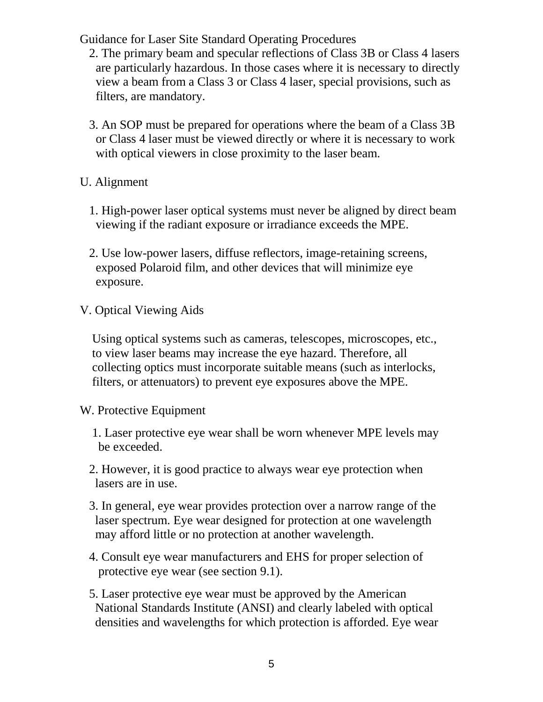- 2. The primary beam and specular reflections of Class 3B or Class 4 lasers are particularly hazardous. In those cases where it is necessary to directly view a beam from a Class 3 or Class 4 laser, special provisions, such as filters, are mandatory.
- 3. An SOP must be prepared for operations where the beam of a Class 3B or Class 4 laser must be viewed directly or where it is necessary to work with optical viewers in close proximity to the laser beam.
- U. Alignment
	- 1. High-power laser optical systems must never be aligned by direct beam viewing if the radiant exposure or irradiance exceeds the MPE.
	- 2. Use low-power lasers, diffuse reflectors, image-retaining screens, exposed Polaroid film, and other devices that will minimize eye exposure.
- V. Optical Viewing Aids

 Using optical systems such as cameras, telescopes, microscopes, etc., to view laser beams may increase the eye hazard. Therefore, all collecting optics must incorporate suitable means (such as interlocks, filters, or attenuators) to prevent eye exposures above the MPE.

- W. Protective Equipment
	- 1. Laser protective eye wear shall be worn whenever MPE levels may be exceeded.
	- 2. However, it is good practice to always wear eye protection when lasers are in use.
	- 3. In general, eye wear provides protection over a narrow range of the laser spectrum. Eye wear designed for protection at one wavelength may afford little or no protection at another wavelength.
	- 4. Consult eye wear manufacturers and EHS for proper selection of protective eye wear (see section 9.1).
	- 5. Laser protective eye wear must be approved by the American National Standards Institute (ANSI) and clearly labeled with optical densities and wavelengths for which protection is afforded. Eye wear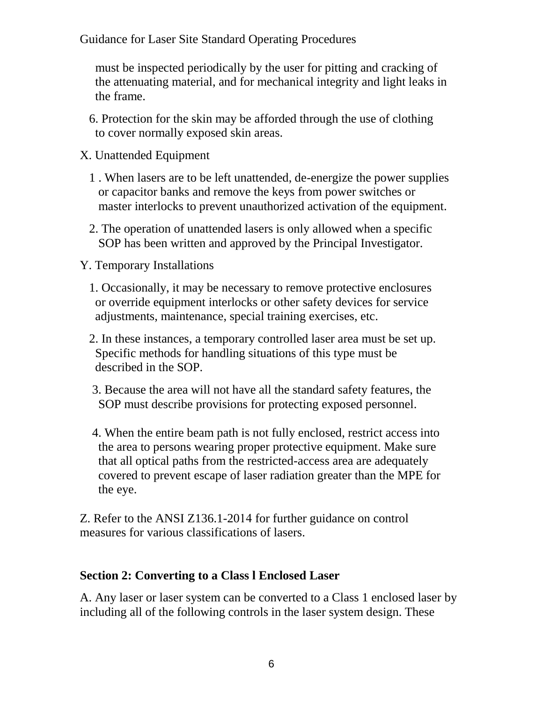must be inspected periodically by the user for pitting and cracking of the attenuating material, and for mechanical integrity and light leaks in the frame.

- 6. Protection for the skin may be afforded through the use of clothing to cover normally exposed skin areas.
- X. Unattended Equipment
	- 1 . When lasers are to be left unattended, de-energize the power supplies or capacitor banks and remove the keys from power switches or master interlocks to prevent unauthorized activation of the equipment.
	- 2. The operation of unattended lasers is only allowed when a specific SOP has been written and approved by the Principal Investigator.
- Y. Temporary Installations
	- 1. Occasionally, it may be necessary to remove protective enclosures or override equipment interlocks or other safety devices for service adjustments, maintenance, special training exercises, etc.
	- 2. In these instances, a temporary controlled laser area must be set up. Specific methods for handling situations of this type must be described in the SOP.
	- 3. Because the area will not have all the standard safety features, the SOP must describe provisions for protecting exposed personnel.
	- 4. When the entire beam path is not fully enclosed, restrict access into the area to persons wearing proper protective equipment. Make sure that all optical paths from the restricted-access area are adequately covered to prevent escape of laser radiation greater than the MPE for the eye.

Z. Refer to the ANSI Z136.1-2014 for further guidance on control measures for various classifications of lasers.

## **Section 2: Converting to a Class l Enclosed Laser**

A. Any laser or laser system can be converted to a Class 1 enclosed laser by including all of the following controls in the laser system design. These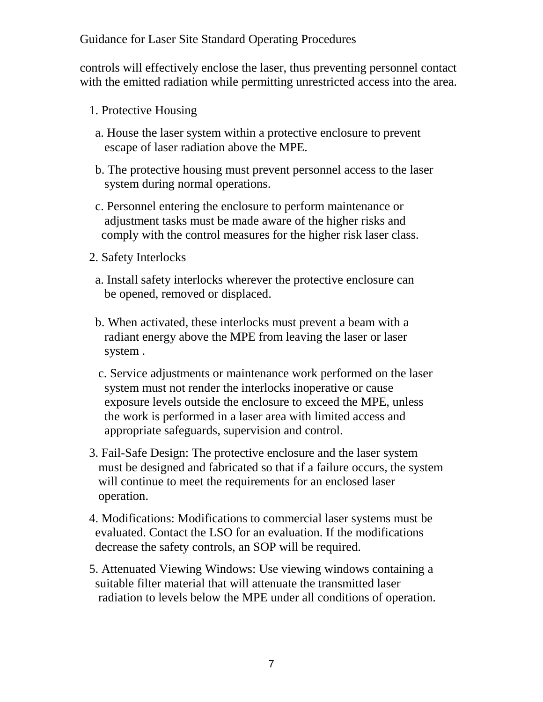controls will effectively enclose the laser, thus preventing personnel contact with the emitted radiation while permitting unrestricted access into the area.

- 1. Protective Housing
- a. House the laser system within a protective enclosure to prevent escape of laser radiation above the MPE.
- b. The protective housing must prevent personnel access to the laser system during normal operations.
- c. Personnel entering the enclosure to perform maintenance or adjustment tasks must be made aware of the higher risks and comply with the control measures for the higher risk laser class.
- 2. Safety Interlocks
	- a. Install safety interlocks wherever the protective enclosure can be opened, removed or displaced.
	- b. When activated, these interlocks must prevent a beam with a radiant energy above the MPE from leaving the laser or laser system .
	- c. Service adjustments or maintenance work performed on the laser system must not render the interlocks inoperative or cause exposure levels outside the enclosure to exceed the MPE, unless the work is performed in a laser area with limited access and appropriate safeguards, supervision and control.
- 3. Fail-Safe Design: The protective enclosure and the laser system must be designed and fabricated so that if a failure occurs, the system will continue to meet the requirements for an enclosed laser operation.
- 4. Modifications: Modifications to commercial laser systems must be evaluated. Contact the LSO for an evaluation. If the modifications decrease the safety controls, an SOP will be required.
- 5. Attenuated Viewing Windows: Use viewing windows containing a suitable filter material that will attenuate the transmitted laser radiation to levels below the MPE under all conditions of operation.